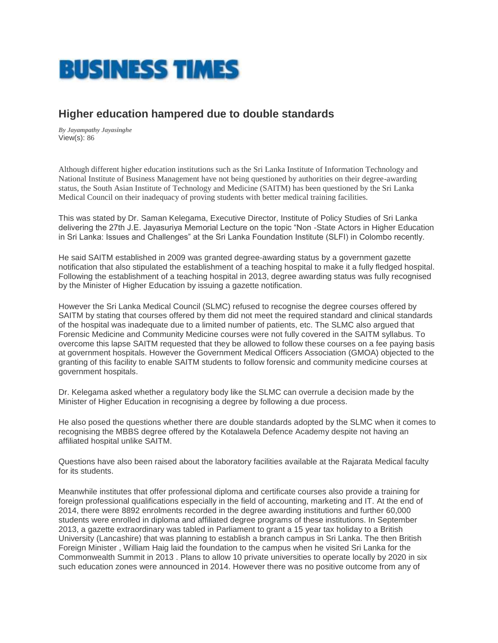

## **Higher education hampered due to double standards**

*By Jayampathy Jayasinghe* View(s): 86

Although different higher education institutions such as the Sri Lanka Institute of Information Technology and National Institute of Business Management have not being questioned by authorities on their degree-awarding status, the South Asian Institute of Technology and Medicine (SAITM) has been questioned by the Sri Lanka Medical Council on their inadequacy of proving students with better medical training facilities.

This was stated by Dr. Saman Kelegama, Executive Director, Institute of Policy Studies of Sri Lanka delivering the 27th J.E. Jayasuriya Memorial Lecture on the topic "Non -State Actors in Higher Education in Sri Lanka: Issues and Challenges" at the Sri Lanka Foundation Institute (SLFI) in Colombo recently.

He said SAITM established in 2009 was granted degree-awarding status by a government gazette notification that also stipulated the establishment of a teaching hospital to make it a fully fledged hospital. Following the establishment of a teaching hospital in 2013, degree awarding status was fully recognised by the Minister of Higher Education by issuing a gazette notification.

However the Sri Lanka Medical Council (SLMC) refused to recognise the degree courses offered by SAITM by stating that courses offered by them did not meet the required standard and clinical standards of the hospital was inadequate due to a limited number of patients, etc. The SLMC also argued that Forensic Medicine and Community Medicine courses were not fully covered in the SAITM syllabus. To overcome this lapse SAITM requested that they be allowed to follow these courses on a fee paying basis at government hospitals. However the Government Medical Officers Association (GMOA) objected to the granting of this facility to enable SAITM students to follow forensic and community medicine courses at government hospitals.

Dr. Kelegama asked whether a regulatory body like the SLMC can overrule a decision made by the Minister of Higher Education in recognising a degree by following a due process.

He also posed the questions whether there are double standards adopted by the SLMC when it comes to recognising the MBBS degree offered by the Kotalawela Defence Academy despite not having an affiliated hospital unlike SAITM.

Questions have also been raised about the laboratory facilities available at the Rajarata Medical faculty for its students.

Meanwhile institutes that offer professional diploma and certificate courses also provide a training for foreign professional qualifications especially in the field of accounting, marketing and IT. At the end of 2014, there were 8892 enrolments recorded in the degree awarding institutions and further 60,000 students were enrolled in diploma and affiliated degree programs of these institutions. In September 2013, a gazette extraordinary was tabled in Parliament to grant a 15 year tax holiday to a British University (Lancashire) that was planning to establish a branch campus in Sri Lanka. The then British Foreign Minister , William Haig laid the foundation to the campus when he visited Sri Lanka for the Commonwealth Summit in 2013 . Plans to allow 10 private universities to operate locally by 2020 in six such education zones were announced in 2014. However there was no positive outcome from any of